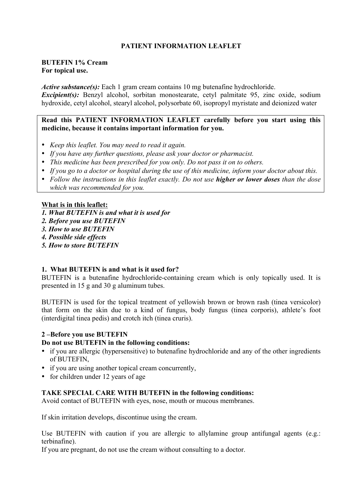# **PATIENT INFORMATION LEAFLET**

#### **BUTEFIN 1% Cream For topical use.**

*Active substance(s):* Each 1 gram cream contains 10 mg butenafine hydrochloride.

*Excipient(s)*: Benzyl alcohol, sorbitan monostearate, cetyl palmitate 95, zinc oxide, sodium hydroxide, cetyl alcohol, stearyl alcohol, polysorbate 60, isopropyl myristate and deionized water

# **Read this PATIENT INFORMATION LEAFLET carefully before you start using this medicine, because it contains important information for you.**

- *Keep this leaflet. You may need to read it again.*
- *If you have any further questions, please ask your doctor or pharmacist.*
- *This medicine has been prescribed for you only. Do not pass it on to others.*
- *If you go to a doctor or hospital during the use of this medicine, inform your doctor about this.*
- *Follow the instructions in this leaflet exactly. Do not use higher or lower doses than the dose which was recommended for you.*

- **What is in this leaflet:**
- *1. What BUTEFIN is and what it is used for*
- *2. Before you use BUTEFIN*
- *3. How to use BUTEFIN*
- *4. Possible side effects*
- *5. How to store BUTEFIN*

# **1. What BUTEFIN is and what is it used for?**

BUTEFIN is a butenafine hydrochloride-containing cream which is only topically used. It is presented in 15 g and 30 g aluminum tubes.

BUTEFIN is used for the topical treatment of yellowish brown or brown rash (tinea versicolor) that form on the skin due to a kind of fungus, body fungus (tinea corporis), athlete's foot (interdigital tinea pedis) and crotch itch (tinea cruris).

# **2 –Before you use BUTEFIN**

#### **Do not use BUTEFIN in the following conditions:**

- if you are allergic (hypersensitive) to butenafine hydrochloride and any of the other ingredients of BUTEFIN,
- if you are using another topical cream concurrently,
- for children under 12 years of age

# **TAKE SPECIAL CARE WITH BUTEFIN in the following conditions:**

Avoid contact of BUTEFIN with eyes, nose, mouth or mucous membranes.

If skin irritation develops, discontinue using the cream.

Use BUTEFIN with caution if you are allergic to allylamine group antifungal agents (e.g.: terbinafine).

If you are pregnant, do not use the cream without consulting to a doctor.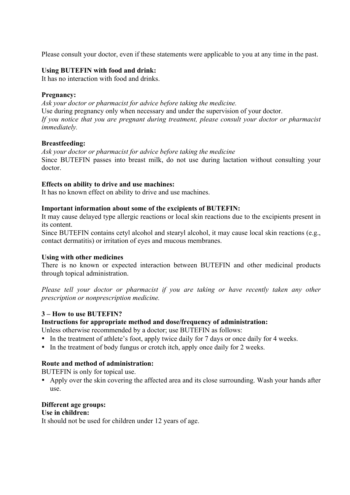Please consult your doctor, even if these statements were applicable to you at any time in the past.

# **Using BUTEFIN with food and drink:**

It has no interaction with food and drinks.

### **Pregnancy:**

*Ask your doctor or pharmacist for advice before taking the medicine.* Use during pregnancy only when necessary and under the supervision of your doctor. *If you notice that you are pregnant during treatment, please consult your doctor or pharmacist immediately.*

#### **Breastfeeding:**

*Ask your doctor or pharmacist for advice before taking the medicine* Since BUTEFIN passes into breast milk, do not use during lactation without consulting your doctor.

# **Effects on ability to drive and use machines:**

It has no known effect on ability to drive and use machines.

# **Important information about some of the excipients of BUTEFIN:**

It may cause delayed type allergic reactions or local skin reactions due to the excipients present in its content.

Since BUTEFIN contains cetyl alcohol and stearyl alcohol, it may cause local skin reactions (e.g., contact dermatitis) or irritation of eyes and mucous membranes.

#### **Using with other medicines**

There is no known or expected interaction between BUTEFIN and other medicinal products through topical administration.

*Please tell your doctor or pharmacist if you are taking or have recently taken any other prescription or nonprescription medicine.* 

# **3 – How to use BUTEFIN?**

#### **Instructions for appropriate method and dose/frequency of administration:**

Unless otherwise recommended by a doctor; use BUTEFIN as follows:

- In the treatment of athlete's foot, apply twice daily for 7 days or once daily for 4 weeks.
- In the treatment of body fungus or crotch itch, apply once daily for 2 weeks.

# **Route and method of administration:**

BUTEFIN is only for topical use.

• Apply over the skin covering the affected area and its close surrounding. Wash your hands after use.

### **Different age groups:**

#### **Use in children:**

It should not be used for children under 12 years of age.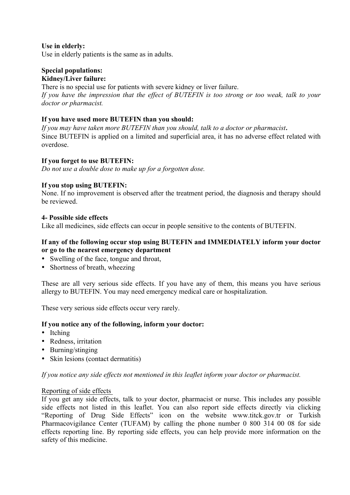# **Use in elderly:**

Use in elderly patients is the same as in adults.

# **Special populations:**

# **Kidney/Liver failure:**

There is no special use for patients with severe kidney or liver failure. *If you have the impression that the effect of BUTEFIN is too strong or too weak, talk to your doctor or pharmacist.*

### **If you have used more BUTEFIN than you should:**

*If you may have taken more BUTEFIN than you should, talk to a doctor or pharmacist*. Since BUTEFIN is applied on a limited and superficial area, it has no adverse effect related with overdose.

# **If you forget to use BUTEFIN:**

*Do not use a double dose to make up for a forgotten dose.* 

# **If you stop using BUTEFIN:**

None. If no improvement is observed after the treatment period, the diagnosis and therapy should be reviewed.

#### **4- Possible side effects**

Like all medicines, side effects can occur in people sensitive to the contents of BUTEFIN.

# **If any of the following occur stop using BUTEFIN and IMMEDIATELY inform your doctor or go to the nearest emergency department**

- Swelling of the face, tongue and throat,
- Shortness of breath, wheezing

These are all very serious side effects. If you have any of them, this means you have serious allergy to BUTEFIN. You may need emergency medical care or hospitalization.

These very serious side effects occur very rarely.

#### **If you notice any of the following, inform your doctor:**

- Itching
- Redness, irritation
- Burning/stinging
- Skin lesions (contact dermatitis)

*If you notice any side effects not mentioned in this leaflet inform your doctor or pharmacist.*

#### Reporting of side effects

If you get any side effects, talk to your doctor, pharmacist or nurse. This includes any possible side effects not listed in this leaflet. You can also report side effects directly via clicking "Reporting of Drug Side Effects" icon on the website www.titck.gov.tr or Turkish Pharmacovigilance Center (TUFAM) by calling the phone number 0 800 314 00 08 for side effects reporting line. By reporting side effects, you can help provide more information on the safety of this medicine.